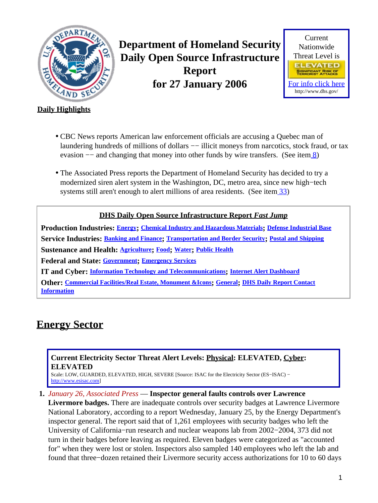<span id="page-0-1"></span>

**Department of Homeland Security Daily Open Source Infrastructure Report for 27 January 2006**



## **Daily Highlights**

- CBC News reports American law enforcement officials are accusing a Quebec man of laundering hundreds of millions of dollars — illicit moneys from narcotics, stock fraud, or tax evasion  $-$  and changing that money into other funds by wire transfers. (See item  $\frac{8}{2}$ )
- The Associated Press reports the Department of Homeland Security has decided to try a modernized siren alert system in the Washington, DC, metro area, since new high−tech systems still aren't enough to alert millions of area residents. (See item [33\)](#page-13-0)

## **DHS Daily Open Source Infrastructure Report** *Fast Jump*

**Production Industries: [Energy](#page-0-0); [Chemical Industry and Hazardous Materials](#page-1-0); [Defense Industrial Base](#page-2-0) Service Industries: [Banking and Finance](#page-2-1); [Transportation and Border Security](#page-6-0); [Postal and Shipping](#page-7-0) Sustenance and Health: [Agriculture](#page-7-1); [Food](#page-8-0); [Water](#page-9-0); [Public Health](#page-10-0) Federal and State: [Government](#page-11-0); [Emergency Services](#page-12-0) IT and Cyber: [Information Technology and Telecommunications](#page-13-1); [Internet Alert Dashboard](#page-15-0) Other: [Commercial Facilities/Real Estate, Monument &Icons](#page-16-0); [General](#page-17-0); [DHS Daily Report Contact](#page-17-1)**

**[Information](#page-17-1)**

# <span id="page-0-0"></span>**Energy Sector**

## **Current Electricity Sector Threat Alert Levels: Physical: ELEVATED, Cyber: ELEVATED**

Scale: LOW, GUARDED, ELEVATED, HIGH, SEVERE [Source: ISAC for the Electricity Sector (ES−ISAC) − [http://www.esisac.com](http://esisac.com)]

### **1.** *January 26, Associated Press* — **Inspector general faults controls over Lawrence**

**Livermore badges.** There are inadequate controls over security badges at Lawrence Livermore National Laboratory, according to a report Wednesday, January 25, by the Energy Department's inspector general. The report said that of 1,261 employees with security badges who left the University of California−run research and nuclear weapons lab from 2002−2004, 373 did not turn in their badges before leaving as required. Eleven badges were categorized as "accounted for" when they were lost or stolen. Inspectors also sampled 140 employees who left the lab and found that three−dozen retained their Livermore security access authorizations for 10 to 60 days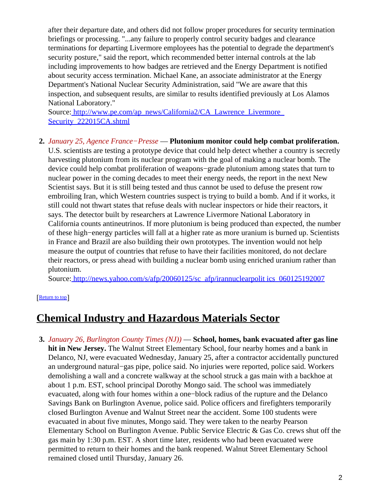after their departure date, and others did not follow proper procedures for security termination briefings or processing. "...any failure to properly control security badges and clearance terminations for departing Livermore employees has the potential to degrade the department's security posture," said the report, which recommended better internal controls at the lab including improvements to how badges are retrieved and the Energy Department is notified about security access termination. Michael Kane, an associate administrator at the Energy Department's National Nuclear Security Administration, said "We are aware that this inspection, and subsequent results, are similar to results identified previously at Los Alamos National Laboratory."

Source[: http://www.pe.com/ap\\_news/California2/CA\\_Lawrence\\_Livermore\\_](http://www.pe.com/ap_news/California2/CA_Lawrence_Livermore_Security_222015CA.shtml) [Security\\_222015CA.shtml](http://www.pe.com/ap_news/California2/CA_Lawrence_Livermore_Security_222015CA.shtml)

## **2.** *January 25, Agence France−Presse* — **Plutonium monitor could help combat proliferation.**

U.S. scientists are testing a prototype device that could help detect whether a country is secretly harvesting plutonium from its nuclear program with the goal of making a nuclear bomb. The device could help combat proliferation of weapons−grade plutonium among states that turn to nuclear power in the coming decades to meet their energy needs, the report in the next New Scientist says. But it is still being tested and thus cannot be used to defuse the present row embroiling Iran, which Western countries suspect is trying to build a bomb. And if it works, it still could not thwart states that refuse deals with nuclear inspectors or hide their reactors, it says. The detector built by researchers at Lawrence Livermore National Laboratory in California counts antineutrinos. If more plutonium is being produced than expected, the number of these high−energy particles will fall at a higher rate as more uranium is burned up. Scientists in France and Brazil are also building their own prototypes. The invention would not help measure the output of countries that refuse to have their facilities monitored, do not declare their reactors, or press ahead with building a nuclear bomb using enriched uranium rather than plutonium.

Source[: http://news.yahoo.com/s/afp/20060125/sc\\_afp/irannuclearpolit ics\\_060125192007](http://news.yahoo.com/s/afp/20060125/sc_afp/irannuclearpolitics_060125192007)

### [[Return to top](#page-0-1)]

## <span id="page-1-0"></span>**Chemical Industry and Hazardous Materials Sector**

**3.** *January 26, Burlington County Times (NJ))* — **School, homes, bank evacuated after gas line hit in New Jersey.** The Walnut Street Elementary School, four nearby homes and a bank in Delanco, NJ, were evacuated Wednesday, January 25, after a contractor accidentally punctured an underground natural−gas pipe, police said. No injuries were reported, police said. Workers demolishing a wall and a concrete walkway at the school struck a gas main with a backhoe at about 1 p.m. EST, school principal Dorothy Mongo said. The school was immediately evacuated, along with four homes within a one−block radius of the rupture and the Delanco Savings Bank on Burlington Avenue, police said. Police officers and firefighters temporarily closed Burlington Avenue and Walnut Street near the accident. Some 100 students were evacuated in about five minutes, Mongo said. They were taken to the nearby Pearson Elementary School on Burlington Avenue. Public Service Electric & Gas Co. crews shut off the gas main by 1:30 p.m. EST. A short time later, residents who had been evacuated were permitted to return to their homes and the bank reopened. Walnut Street Elementary School remained closed until Thursday, January 26.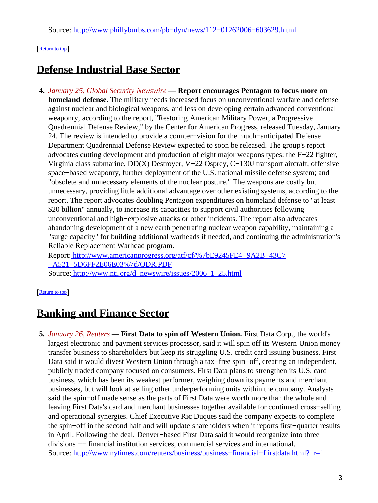## [[Return to top](#page-0-1)]

# <span id="page-2-0"></span>**Defense Industrial Base Sector**

**4.** *January 25, Global Security Newswire* — **Report encourages Pentagon to focus more on homeland defense.** The military needs increased focus on unconventional warfare and defense against nuclear and biological weapons, and less on developing certain advanced conventional weaponry, according to the report, "Restoring American Military Power, a Progressive Quadrennial Defense Review," by the Center for American Progress, released Tuesday, January 24. The review is intended to provide a counter−vision for the much−anticipated Defense Department Quadrennial Defense Review expected to soon be released. The group's report advocates cutting development and production of eight major weapons types: the F−22 fighter, Virginia class submarine, DD(X) Destroyer, V−22 Osprey, C−130J transport aircraft, offensive space−based weaponry, further deployment of the U.S. national missile defense system; and "obsolete and unnecessary elements of the nuclear posture." The weapons are costly but unnecessary, providing little additional advantage over other existing systems, according to the report. The report advocates doubling Pentagon expenditures on homeland defense to "at least \$20 billion" annually, to increase its capacities to support civil authorities following unconventional and high−explosive attacks or other incidents. The report also advocates abandoning development of a new earth penetrating nuclear weapon capability, maintaining a "surge capacity" for building additional warheads if needed, and continuing the administration's Reliable Replacement Warhead program.

Report: [http://www.americanprogress.org/atf/cf/%7bE9245FE4−9A2B−43C7](http://www.americanprogress.org/atf/cf/%7bE9245FE4-9A2B-43C7-A521-5D6FF2E06E03%7d/QDR.PDF) [−A521−5D6FF2E06E03%7d/QDR.PDF](http://www.americanprogress.org/atf/cf/%7bE9245FE4-9A2B-43C7-A521-5D6FF2E06E03%7d/QDR.PDF)

Source[: http://www.nti.org/d\\_newswire/issues/2006\\_1\\_25.html](http://www.nti.org/d_newswire/issues/2006_1_25.html)

### [[Return to top](#page-0-1)]

## <span id="page-2-1"></span>**Banking and Finance Sector**

**5.** *January 26, Reuters* — **First Data to spin off Western Union.** First Data Corp., the world's largest electronic and payment services processor, said it will spin off its Western Union money transfer business to shareholders but keep its struggling U.S. credit card issuing business. First Data said it would divest Western Union through a tax−free spin−off, creating an independent, publicly traded company focused on consumers. First Data plans to strengthen its U.S. card business, which has been its weakest performer, weighing down its payments and merchant businesses, but will look at selling other underperforming units within the company. Analysts said the spin−off made sense as the parts of First Data were worth more than the whole and leaving First Data's card and merchant businesses together available for continued cross−selling and operational synergies. Chief Executive Ric Duques said the company expects to complete the spin−off in the second half and will update shareholders when it reports first−quarter results in April. Following the deal, Denver−based First Data said it would reorganize into three divisions −− financial institution services, commercial services and international. Source: http://www.nytimes.com/reuters/business/business–financial–f irstdata.html? r=1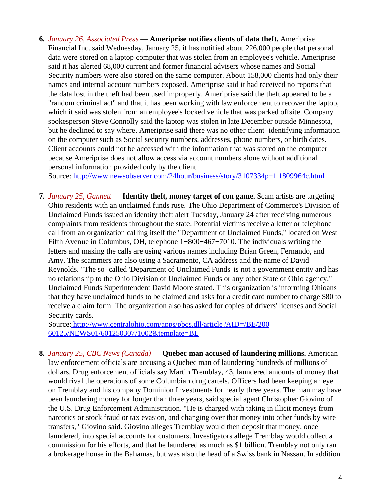**6.** *January 26, Associated Press* — **Ameriprise notifies clients of data theft.** Ameriprise Financial Inc. said Wednesday, January 25, it has notified about 226,000 people that personal data were stored on a laptop computer that was stolen from an employee's vehicle. Ameriprise said it has alerted 68,000 current and former financial advisers whose names and Social Security numbers were also stored on the same computer. About 158,000 clients had only their names and internal account numbers exposed. Ameriprise said it had received no reports that the data lost in the theft had been used improperly. Ameriprise said the theft appeared to be a "random criminal act" and that it has been working with law enforcement to recover the laptop, which it said was stolen from an employee's locked vehicle that was parked offsite. Company spokesperson Steve Connolly said the laptop was stolen in late December outside Minnesota, but he declined to say where. Ameriprise said there was no other client−identifying information on the computer such as Social security numbers, addresses, phone numbers, or birth dates. Client accounts could not be accessed with the information that was stored on the computer because Ameriprise does not allow access via account numbers alone without additional personal information provided only by the client.

Source[: http://www.newsobserver.com/24hour/business/story/3107334p−1 1809964c.html](http://www.newsobserver.com/24hour/business/story/3107334p-11809964c.html)

**7.** *January 25, Gannett* — **Identity theft, money target of con game.** Scam artists are targeting Ohio residents with an unclaimed funds ruse. The Ohio Department of Commerce's Division of Unclaimed Funds issued an identity theft alert Tuesday, January 24 after receiving numerous complaints from residents throughout the state. Potential victims receive a letter or telephone call from an organization calling itself the "Department of Unclaimed Funds," located on West Fifth Avenue in Columbus, OH, telephone 1−800−467−7010. The individuals writing the letters and making the calls are using various names including Brian Green, Fernando, and Amy. The scammers are also using a Sacramento, CA address and the name of David Reynolds. "The so−called 'Department of Unclaimed Funds' is not a government entity and has no relationship to the Ohio Division of Unclaimed Funds or any other State of Ohio agency," Unclaimed Funds Superintendent David Moore stated. This organization is informing Ohioans that they have unclaimed funds to be claimed and asks for a credit card number to charge \$80 to receive a claim form. The organization also has asked for copies of drivers' licenses and Social Security cards.

Source[: http://www.centralohio.com/apps/pbcs.dll/article?AID=/BE/200](http://www.centralohio.com/apps/pbcs.dll/article?AID=/BE/20060125/NEWS01/601250307/1002&template=BE) [60125/NEWS01/601250307/1002&template=BE](http://www.centralohio.com/apps/pbcs.dll/article?AID=/BE/20060125/NEWS01/601250307/1002&template=BE)

<span id="page-3-0"></span>**8.** *January 25, CBC News (Canada)* — **Quebec man accused of laundering millions.** American law enforcement officials are accusing a Quebec man of laundering hundreds of millions of dollars. Drug enforcement officials say Martin Tremblay, 43, laundered amounts of money that would rival the operations of some Columbian drug cartels. Officers had been keeping an eye on Tremblay and his company Dominion Investments for nearly three years. The man may have been laundering money for longer than three years, said special agent Christopher Giovino of the U.S. Drug Enforcement Administration. "He is charged with taking in illicit moneys from narcotics or stock fraud or tax evasion, and changing over that money into other funds by wire transfers," Giovino said. Giovino alleges Tremblay would then deposit that money, once laundered, into special accounts for customers. Investigators allege Tremblay would collect a commission for his efforts, and that he laundered as much as \$1 billion. Tremblay not only ran a brokerage house in the Bahamas, but was also the head of a Swiss bank in Nassau. In addition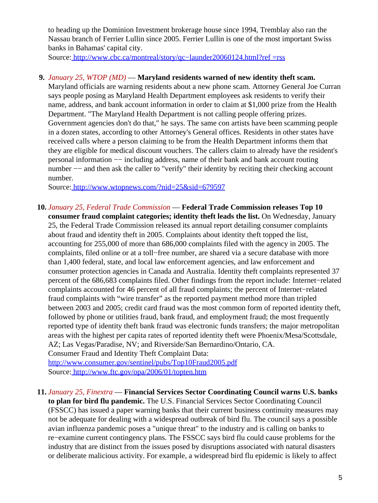to heading up the Dominion Investment brokerage house since 1994, Tremblay also ran the Nassau branch of Ferrier Lullin since 2005. Ferrier Lullin is one of the most important Swiss banks in Bahamas' capital city.

Source[: http://www.cbc.ca/montreal/story/qc−launder20060124.html?ref =rss](http://www.cbc.ca/montreal/story/qc-launder20060124.html?ref=rss)

## **9.** *January 25, WTOP (MD)* — **Maryland residents warned of new identity theft scam.**

Maryland officials are warning residents about a new phone scam. Attorney General Joe Curran says people posing as Maryland Health Department employees ask residents to verify their name, address, and bank account information in order to claim at \$1,000 prize from the Health Department. "The Maryland Health Department is not calling people offering prizes. Government agencies don't do that," he says. The same con artists have been scamming people in a dozen states, according to other Attorney's General offices. Residents in other states have received calls where a person claiming to be from the Health Department informs them that they are eligible for medical discount vouchers. The callers claim to already have the resident's personal information −− including address, name of their bank and bank account routing number –– and then ask the caller to "verify" their identity by reciting their checking account number.

Source[: http://www.wtopnews.com/?nid=25&sid=679597](http://www.wtopnews.com/?nid=25&sid=679597)

**10.** *January 25, Federal Trade Commission* — **Federal Trade Commission releases Top 10 consumer fraud complaint categories; identity theft leads the list.** On Wednesday, January 25, the Federal Trade Commission released its annual report detailing consumer complaints about fraud and identity theft in 2005. Complaints about identity theft topped the list, accounting for 255,000 of more than 686,000 complaints filed with the agency in 2005. The complaints, filed online or at a toll−free number, are shared via a secure database with more than 1,400 federal, state, and local law enforcement agencies, and law enforcement and consumer protection agencies in Canada and Australia. Identity theft complaints represented 37 percent of the 686,683 complaints filed. Other findings from the report include: Internet−related complaints accounted for 46 percent of all fraud complaints; the percent of Internet−related fraud complaints with "wire transfer" as the reported payment method more than tripled between 2003 and 2005; credit card fraud was the most common form of reported identity theft, followed by phone or utilities fraud, bank fraud, and employment fraud; the most frequently reported type of identity theft bank fraud was electronic funds transfers; the major metropolitan areas with the highest per capita rates of reported identity theft were Phoenix/Mesa/Scottsdale, AZ; Las Vegas/Paradise, NV; and Riverside/San Bernardino/Ontario, CA. Consumer Fraud and Identity Theft Complaint Data:

<http://www.consumer.gov/sentinel/pubs/Top10Fraud2005.pdf> Source[: http://www.ftc.gov/opa/2006/01/topten.htm](http://www.ftc.gov/opa/2006/01/topten.htm)

**11.** *January 25, Finextra* — **Financial Services Sector Coordinating Council warns U.S. banks to plan for bird flu pandemic.** The U.S. Financial Services Sector Coordinating Council (FSSCC) has issued a paper warning banks that their current business continuity measures may not be adequate for dealing with a widespread outbreak of bird flu. The council says a possible avian influenza pandemic poses a "unique threat" to the industry and is calling on banks to re−examine current contingency plans. The FSSCC says bird flu could cause problems for the industry that are distinct from the issues posed by disruptions associated with natural disasters or deliberate malicious activity. For example, a widespread bird flu epidemic is likely to affect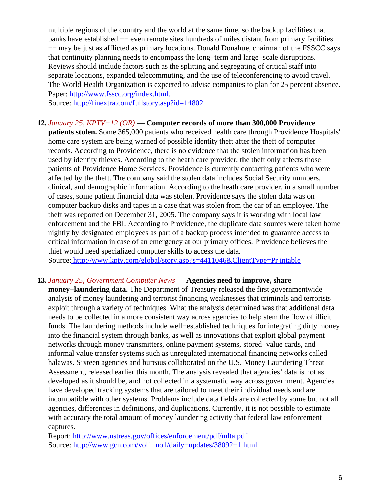multiple regions of the country and the world at the same time, so the backup facilities that banks have established −− even remote sites hundreds of miles distant from primary facilities −− may be just as afflicted as primary locations. Donald Donahue, chairman of the FSSCC says that continuity planning needs to encompass the long−term and large−scale disruptions. Reviews should include factors such as the splitting and segregating of critical staff into separate locations, expanded telecommuting, and the use of teleconferencing to avoid travel. The World Health Organization is expected to advise companies to plan for 25 percent absence. Paper[: http://www.fsscc.org/index.html.](http://www.fsscc.org/index.html.)

Source[: http://finextra.com/fullstory.asp?id=14802](http://finextra.com/fullstory.asp?id=14802)

### **12.** *January 25, KPTV−12 (OR)* — **Computer records of more than 300,000 Providence**

**patients stolen.** Some 365,000 patients who received health care through Providence Hospitals' home care system are being warned of possible identity theft after the theft of computer records. According to Providence, there is no evidence that the stolen information has been used by identity thieves. According to the heath care provider, the theft only affects those patients of Providence Home Services. Providence is currently contacting patients who were affected by the theft. The company said the stolen data includes Social Security numbers, clinical, and demographic information. According to the heath care provider, in a small number of cases, some patient financial data was stolen. Providence says the stolen data was on computer backup disks and tapes in a case that was stolen from the car of an employee. The theft was reported on December 31, 2005. The company says it is working with local law enforcement and the FBI. According to Providence, the duplicate data sources were taken home nightly by designated employees as part of a backup process intended to guarantee access to critical information in case of an emergency at our primary offices. Providence believes the thief would need specialized computer skills to access the data.

Source[: http://www.kptv.com/global/story.asp?s=4411046&ClientType=Pr intable](http://www.kptv.com/global/story.asp?s=4411046&ClientType=Printable)

## **13.** *January 25, Government Computer News* — **Agencies need to improve, share**

**money−laundering data.** The Department of Treasury released the first governmentwide analysis of money laundering and terrorist financing weaknesses that criminals and terrorists exploit through a variety of techniques. What the analysis determined was that additional data needs to be collected in a more consistent way across agencies to help stem the flow of illicit funds. The laundering methods include well−established techniques for integrating dirty money into the financial system through banks, as well as innovations that exploit global payment networks through money transmitters, online payment systems, stored−value cards, and informal value transfer systems such as unregulated international financing networks called halawas. Sixteen agencies and bureaus collaborated on the U.S. Money Laundering Threat Assessment, released earlier this month. The analysis revealed that agencies' data is not as developed as it should be, and not collected in a systematic way across government. Agencies have developed tracking systems that are tailored to meet their individual needs and are incompatible with other systems. Problems include data fields are collected by some but not all agencies, differences in definitions, and duplications. Currently, it is not possible to estimate with accuracy the total amount of money laundering activity that federal law enforcement captures.

Report:<http://www.ustreas.gov/offices/enforcement/pdf/mlta.pdf> Source[: http://www.gcn.com/vol1\\_no1/daily−updates/38092−1.html](http://www.gcn.com/vol1_no1/daily-updates/38092-1.html)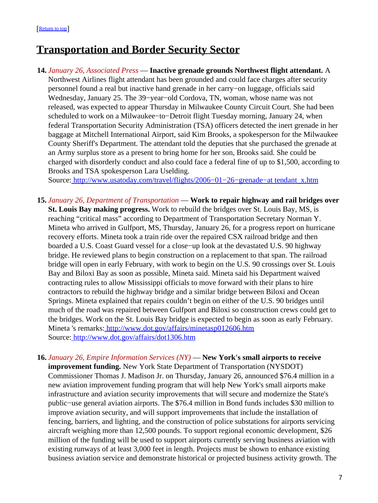## <span id="page-6-0"></span>**Transportation and Border Security Sector**

**14.** *January 26, Associated Press* — **Inactive grenade grounds Northwest flight attendant.** A Northwest Airlines flight attendant has been grounded and could face charges after security personnel found a real but inactive hand grenade in her carry−on luggage, officials said Wednesday, January 25. The 39−year−old Cordova, TN, woman, whose name was not released, was expected to appear Thursday in Milwaukee County Circuit Court. She had been scheduled to work on a Milwaukee−to−Detroit flight Tuesday morning, January 24, when federal Transportation Security Administration (TSA) officers detected the inert grenade in her baggage at Mitchell International Airport, said Kim Brooks, a spokesperson for the Milwaukee County Sheriff's Department. The attendant told the deputies that she purchased the grenade at an Army surplus store as a present to bring home for her son, Brooks said. She could be charged with disorderly conduct and also could face a federal fine of up to \$1,500, according to Brooks and TSA spokesperson Lara Uselding.

Source[: http://www.usatoday.com/travel/flights/2006−01−26−grenade−at tendant\\_x.htm](http://www.usatoday.com/travel/flights/2006-01-26-grenade-attendant_x.htm)

- **15.** *January 26, Department of Transportation* — **Work to repair highway and rail bridges over St. Louis Bay making progress.** Work to rebuild the bridges over St. Louis Bay, MS, is reaching "critical mass" according to Department of Transportation Secretary Norman Y. Mineta who arrived in Gulfport, MS, Thursday, January 26, for a progress report on hurricane recovery efforts. Mineta took a train ride over the repaired CSX railroad bridge and then boarded a U.S. Coast Guard vessel for a close−up look at the devastated U.S. 90 highway bridge. He reviewed plans to begin construction on a replacement to that span. The railroad bridge will open in early February, with work to begin on the U.S. 90 crossings over St. Louis Bay and Biloxi Bay as soon as possible, Mineta said. Mineta said his Department waived contracting rules to allow Mississippi officials to move forward with their plans to hire contractors to rebuild the highway bridge and a similar bridge between Biloxi and Ocean Springs. Mineta explained that repairs couldn't begin on either of the U.S. 90 bridges until much of the road was repaired between Gulfport and Biloxi so construction crews could get to the bridges. Work on the St. Louis Bay bridge is expected to begin as soon as early February. Mineta 's remarks:<http://www.dot.gov/affairs/minetasp012606.htm> Source[: http://www.dot.gov/affairs/dot1306.htm](http://www.dot.gov/affairs/dot1306.htm)
- **16.** *January 26, Empire Information Services (NY)* — **New York's small airports to receive improvement funding.** New York State Department of Transportation (NYSDOT) Commissioner Thomas J. Madison Jr. on Thursday, January 26, announced \$76.4 million in a new aviation improvement funding program that will help New York's small airports make infrastructure and aviation security improvements that will secure and modernize the State's public−use general aviation airports. The \$76.4 million in Bond funds includes \$30 million to improve aviation security, and will support improvements that include the installation of fencing, barriers, and lighting, and the construction of police substations for airports servicing aircraft weighing more than 12,500 pounds. To support regional economic development, \$26 million of the funding will be used to support airports currently serving business aviation with existing runways of at least 3,000 feet in length. Projects must be shown to enhance existing business aviation service and demonstrate historical or projected business activity growth. The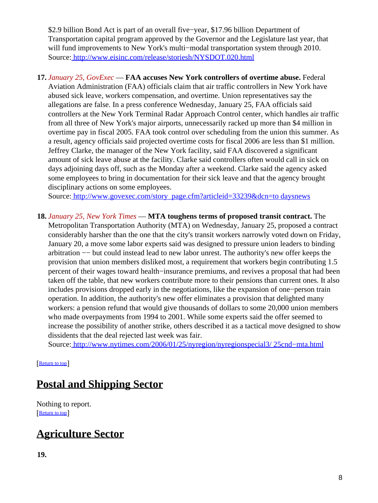\$2.9 billion Bond Act is part of an overall five−year, \$17.96 billion Department of Transportation capital program approved by the Governor and the Legislature last year, that will fund improvements to New York's multi−modal transportation system through 2010. Source[: http://www.eisinc.com/release/storiesh/NYSDOT.020.html](http://www.eisinc.com/release/storiesh/NYSDOT.020.html)

**17.** *January 25, GovExec* — **FAA accuses New York controllers of overtime abuse.** Federal Aviation Administration (FAA) officials claim that air traffic controllers in New York have abused sick leave, workers compensation, and overtime. Union representatives say the allegations are false. In a press conference Wednesday, January 25, FAA officials said controllers at the New York Terminal Radar Approach Control center, which handles air traffic from all three of New York's major airports, unnecessarily racked up more than \$4 million in overtime pay in fiscal 2005. FAA took control over scheduling from the union this summer. As a result, agency officials said projected overtime costs for fiscal 2006 are less than \$1 million. Jeffrey Clarke, the manager of the New York facility, said FAA discovered a significant amount of sick leave abuse at the facility. Clarke said controllers often would call in sick on days adjoining days off, such as the Monday after a weekend. Clarke said the agency asked some employees to bring in documentation for their sick leave and that the agency brought disciplinary actions on some employees.

Source[: http://www.govexec.com/story\\_page.cfm?articleid=33239&dcn=to daysnews](http://www.govexec.com/story_page.cfm?articleid=33239&dcn=todaysnews)

**18.** *January 25, New York Times* — **MTA toughens terms of proposed transit contract.** The Metropolitan Transportation Authority (MTA) on Wednesday, January 25, proposed a contract considerably harsher than the one that the city's transit workers narrowly voted down on Friday, January 20, a move some labor experts said was designed to pressure union leaders to binding arbitration −− but could instead lead to new labor unrest. The authority's new offer keeps the provision that union members disliked most, a requirement that workers begin contributing 1.5 percent of their wages toward health−insurance premiums, and revives a proposal that had been taken off the table, that new workers contribute more to their pensions than current ones. It also includes provisions dropped early in the negotiations, like the expansion of one−person train operation. In addition, the authority's new offer eliminates a provision that delighted many workers: a pension refund that would give thousands of dollars to some 20,000 union members who made overpayments from 1994 to 2001. While some experts said the offer seemed to increase the possibility of another strike, others described it as a tactical move designed to show dissidents that the deal rejected last week was fair.

Source[: http://www.nytimes.com/2006/01/25/nyregion/nyregionspecial3/ 25cnd−mta.html](http://www.nytimes.com/2006/01/25/nyregion/nyregionspecial3/25cnd-mta.html)

[[Return to top](#page-0-1)]

# <span id="page-7-0"></span>**Postal and Shipping Sector**

Nothing to report. [[Return to top](#page-0-1)]

# <span id="page-7-1"></span>**Agriculture Sector**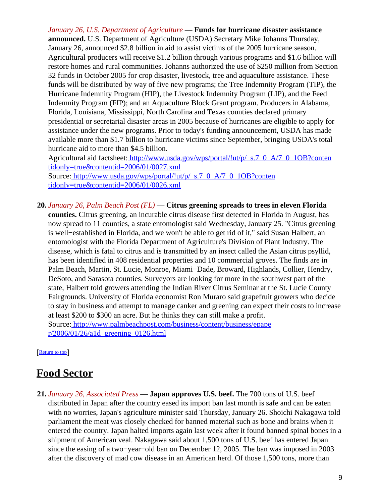*January 26, U.S. Department of Agriculture* — **Funds for hurricane disaster assistance announced.** U.S. Department of Agriculture (USDA) Secretary Mike Johanns Thursday, January 26, announced \$2.8 billion in aid to assist victims of the 2005 hurricane season. Agricultural producers will receive \$1.2 billion through various programs and \$1.6 billion will restore homes and rural communities. Johanns authorized the use of \$250 million from Section 32 funds in October 2005 for crop disaster, livestock, tree and aquaculture assistance. These funds will be distributed by way of five new programs; the Tree Indemnity Program (TIP), the Hurricane Indemnity Program (HIP), the Livestock Indemnity Program (LIP), and the Feed Indemnity Program (FIP); and an Aquaculture Block Grant program. Producers in Alabama, Florida, Louisiana, Mississippi, North Carolina and Texas counties declared primary presidential or secretarial disaster areas in 2005 because of hurricanes are eligible to apply for assistance under the new programs. Prior to today's funding announcement, USDA has made available more than \$1.7 billion to hurricane victims since September, bringing USDA's total hurricane aid to more than \$4.5 billion.

Agricultural aid factsheet[: http://www.usda.gov/wps/portal/!ut/p/\\_s.7\\_0\\_A/7\\_0\\_1OB?conten](http://www.usda.gov/wps/portal/!ut/p/_s.7_0_A/7_0_1OB?contentidonly=true&contentid=2006/01/0027.xml) [tidonly=true&contentid=2006/01/0027.xml](http://www.usda.gov/wps/portal/!ut/p/_s.7_0_A/7_0_1OB?contentidonly=true&contentid=2006/01/0027.xml) Source[: http://www.usda.gov/wps/portal/!ut/p/\\_s.7\\_0\\_A/7\\_0\\_1OB?conten](http://www.usda.gov/wps/portal/!ut/p/_s.7_0_A/7_0_1OB?contentidonly=true&contentid=2006/01/0026.xml)

[tidonly=true&contentid=2006/01/0026.xml](http://www.usda.gov/wps/portal/!ut/p/_s.7_0_A/7_0_1OB?contentidonly=true&contentid=2006/01/0026.xml)

**20.** *January 26, Palm Beach Post (FL)* — **Citrus greening spreads to trees in eleven Florida counties.** Citrus greening, an incurable citrus disease first detected in Florida in August, has now spread to 11 counties, a state entomologist said Wednesday, January 25. "Citrus greening is well−established in Florida, and we won't be able to get rid of it," said Susan Halbert, an entomologist with the Florida Department of Agriculture's Division of Plant Industry. The disease, which is fatal to citrus and is transmitted by an insect called the Asian citrus psyllid, has been identified in 408 residential properties and 10 commercial groves. The finds are in Palm Beach, Martin, St. Lucie, Monroe, Miami−Dade, Broward, Highlands, Collier, Hendry, DeSoto, and Sarasota counties. Surveyors are looking for more in the southwest part of the state, Halbert told growers attending the Indian River Citrus Seminar at the St. Lucie County Fairgrounds. University of Florida economist Ron Muraro said grapefruit growers who decide to stay in business and attempt to manage canker and greening can expect their costs to increase at least \$200 to \$300 an acre. But he thinks they can still make a profit. Source[: http://www.palmbeachpost.com/business/content/business/epape](http://www.palmbeachpost.com/business/content/business/epaper/2006/01/26/a1d_greening_0126.html)  $r/2006/01/26/a1d$  greening 0126.html

[[Return to top](#page-0-1)]

## <span id="page-8-0"></span>**Food Sector**

**21.** *January 26, Associated Press* — **Japan approves U.S. beef.** The 700 tons of U.S. beef distributed in Japan after the country eased its import ban last month is safe and can be eaten with no worries, Japan's agriculture minister said Thursday, January 26. Shoichi Nakagawa told parliament the meat was closely checked for banned material such as bone and brains when it entered the country. Japan halted imports again last week after it found banned spinal bones in a shipment of American veal. Nakagawa said about 1,500 tons of U.S. beef has entered Japan since the easing of a two−year−old ban on December 12, 2005. The ban was imposed in 2003 after the discovery of mad cow disease in an American herd. Of those 1,500 tons, more than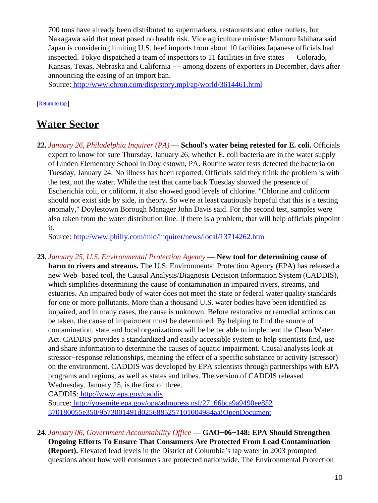700 tons have already been distributed to supermarkets, restaurants and other outlets, but Nakagawa said that meat posed no health risk. Vice agriculture minister Mamoru Ishihara said Japan is considering limiting U.S. beef imports from about 10 facilities Japanese officials had inspected. Tokyo dispatched a team of inspectors to 11 facilities in five states −− Colorado, Kansas, Texas, Nebraska and California –– among dozens of exporters in December, days after announcing the easing of an import ban.

Source[: http://www.chron.com/disp/story.mpl/ap/world/3614461.html](http://www.chron.com/disp/story.mpl/ap/world/3614461.html)

## [[Return to top](#page-0-1)]

## <span id="page-9-0"></span>**Water Sector**

**22.** *January 26, Philadelphia Inquirer (PA)* — **School's water being retested for E. coli.** Officials expect to know for sure Thursday, January 26, whether E. coli bacteria are in the water supply of Linden Elementary School in Doylestown, PA. Routine water tests detected the bacteria on Tuesday, January 24. No illness has been reported. Officials said they think the problem is with the test, not the water. While the test that came back Tuesday showed the presence of Escherichia coli, or coliform, it also showed good levels of chlorine. "Chlorine and coliform should not exist side by side, in theory. So we're at least cautiously hopeful that this is a testing anomaly," Doylestown Borough Manager John Davis said. For the second test, samples were also taken from the water distribution line. If there is a problem, that will help officials pinpoint it.

Source[: http://www.philly.com/mld/inquirer/news/local/13714262.htm](http://www.philly.com/mld/inquirer/news/local/13714262.htm)

**23.** *January 25, U.S. Environmental Protection Agency* — **New tool for determining cause of harm to rivers and streams.** The U.S. Environmental Protection Agency (EPA) has released a new Web−based tool, the Causal Analysis/Diagnosis Decision Information System (CADDIS), which simplifies determining the cause of contamination in impaired rivers, streams, and estuaries. An impaired body of water does not meet the state or federal water quality standards for one or more pollutants. More than a thousand U.S. water bodies have been identified as impaired, and in many cases, the cause is unknown. Before restorative or remedial actions can be taken, the cause of impairment must be determined. By helping to find the source of contamination, state and local organizations will be better able to implement the Clean Water Act. CADDIS provides a standardized and easily accessible system to help scientists find, use and share information to determine the causes of aquatic impairment. Causal analyses look at stressor−response relationships, meaning the effect of a specific substance or activity (stressor) on the environment. CADDIS was developed by EPA scientists through partnerships with EPA programs and regions, as well as states and tribes. The version of CADDIS released Wednesday, January 25, is the first of three.

CADDIS:<http://www.epa.gov/caddis>

Source[: http://yosemite.epa.gov/opa/admpress.nsf/27166bca9a9490ee852](http://yosemite.epa.gov/opa/admpress.nsf/27166bca9a9490ee852570180055e350/9b73001491d0256885257101004984aa!OpenDocument) [570180055e350/9b73001491d0256885257101004984aa!OpenDocument](http://yosemite.epa.gov/opa/admpress.nsf/27166bca9a9490ee852570180055e350/9b73001491d0256885257101004984aa!OpenDocument)

**24.** *January 06, Government Accountability Office* — **GAO−06−148: EPA Should Strengthen Ongoing Efforts To Ensure That Consumers Are Protected From Lead Contamination (Report).** Elevated lead levels in the District of Columbia's tap water in 2003 prompted questions about how well consumers are protected nationwide. The Environmental Protection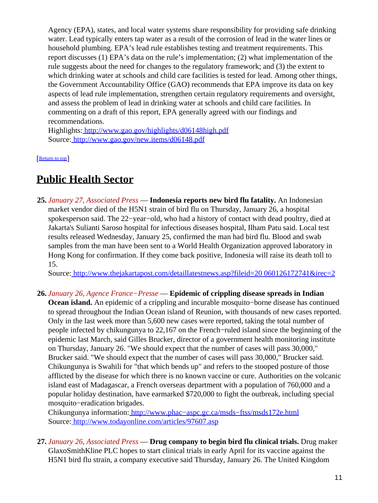Agency (EPA), states, and local water systems share responsibility for providing safe drinking water. Lead typically enters tap water as a result of the corrosion of lead in the water lines or household plumbing. EPA's lead rule establishes testing and treatment requirements. This report discusses (1) EPA's data on the rule's implementation; (2) what implementation of the rule suggests about the need for changes to the regulatory framework; and (3) the extent to which drinking water at schools and child care facilities is tested for lead. Among other things, the Government Accountability Office (GAO) recommends that EPA improve its data on key aspects of lead rule implementation, strengthen certain regulatory requirements and oversight, and assess the problem of lead in drinking water at schools and child care facilities. In commenting on a draft of this report, EPA generally agreed with our findings and recommendations.

Highlights:<http://www.gao.gov/highlights/d06148high.pdf> Source[: http://www.gao.gov/new.items/d06148.pdf](http://www.gao.gov/new.items/d06148.pdf)

[[Return to top](#page-0-1)]

# <span id="page-10-0"></span>**Public Health Sector**

**25.** *January 27, Associated Press* — **Indonesia reports new bird flu fatality.** An Indonesian market vendor died of the H5N1 strain of bird flu on Thursday, January 26, a hospital spokesperson said. The 22−year−old, who had a history of contact with dead poultry, died at Jakarta's Sulianti Saroso hospital for infectious diseases hospital, Ilham Patu said. Local test results released Wednesday, January 25, confirmed the man had bird flu. Blood and swab samples from the man have been sent to a World Health Organization approved laboratory in Hong Kong for confirmation. If they come back positive, Indonesia will raise its death toll to 15.

Source[: http://www.thejakartapost.com/detaillatestnews.asp?fileid=20 060126172741&irec=2](http://www.thejakartapost.com/detaillatestnews.asp?fileid=20060126172741&irec=2)

**26.** *January 26, Agence France−Presse* — **Epidemic of crippling disease spreads in Indian Ocean island.** An epidemic of a crippling and incurable mosquito−borne disease has continued to spread throughout the Indian Ocean island of Reunion, with thousands of new cases reported. Only in the last week more than 5,600 new cases were reported, taking the total number of people infected by chikungunya to 22,167 on the French−ruled island since the beginning of the epidemic last March, said Gilles Brucker, director of a government health monitoring institute on Thursday, January 26. "We should expect that the number of cases will pass 30,000," Brucker said. "We should expect that the number of cases will pass 30,000," Brucker said. Chikungunya is Swahili for "that which bends up" and refers to the stooped posture of those afflicted by the disease for which there is no known vaccine or cure. Authorities on the volcanic island east of Madagascar, a French overseas department with a population of 760,000 and a popular holiday destination, have earmarked \$720,000 to fight the outbreak, including special mosquito−eradication brigades.

Chikungunya information: [http://www.phac−aspc.gc.ca/msds−ftss/msds172e.html](http://www.phac-aspc.gc.ca/msds-ftss/msds172e.html) Source[: http://www.todayonline.com/articles/97607.asp](http://www.todayonline.com/articles/97607.asp)

**27.** *January 26, Associated Press* — **Drug company to begin bird flu clinical trials.** Drug maker GlaxoSmithKline PLC hopes to start clinical trials in early April for its vaccine against the H5N1 bird flu strain, a company executive said Thursday, January 26. The United Kingdom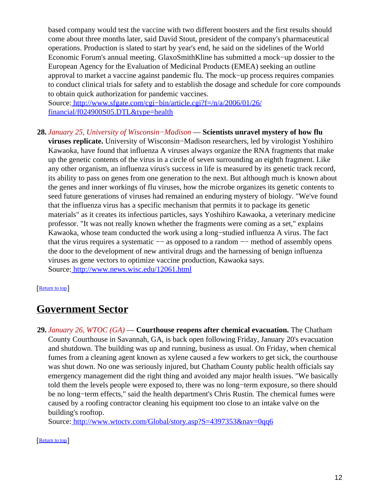based company would test the vaccine with two different boosters and the first results should come about three months later, said David Stout, president of the company's pharmaceutical operations. Production is slated to start by year's end, he said on the sidelines of the World Economic Forum's annual meeting. GlaxoSmithKline has submitted a mock−up dossier to the European Agency for the Evaluation of Medicinal Products (EMEA) seeking an outline approval to market a vaccine against pandemic flu. The mock−up process requires companies to conduct clinical trials for safety and to establish the dosage and schedule for core compounds to obtain quick authorization for pandemic vaccines.

Source[: http://www.sfgate.com/cgi−bin/article.cgi?f=/n/a/2006/01/26/](http://www.sfgate.com/cgi-bin/article.cgi?f=/n/a/2006/01/26/financial/f024900S05.DTL&type=health) [financial/f024900S05.DTL&type=health](http://www.sfgate.com/cgi-bin/article.cgi?f=/n/a/2006/01/26/financial/f024900S05.DTL&type=health)

## **28.** *January 25, University of Wisconsin−Madison* — **Scientists unravel mystery of how flu**

**viruses replicate.** University of Wisconsin−Madison researchers, led by virologist Yoshihiro Kawaoka, have found that influenza A viruses always organize the RNA fragments that make up the genetic contents of the virus in a circle of seven surrounding an eighth fragment. Like any other organism, an influenza virus's success in life is measured by its genetic track record, its ability to pass on genes from one generation to the next. But although much is known about the genes and inner workings of flu viruses, how the microbe organizes its genetic contents to seed future generations of viruses had remained an enduring mystery of biology. "We've found that the influenza virus has a specific mechanism that permits it to package its genetic materials" as it creates its infectious particles, says Yoshihiro Kawaoka, a veterinary medicine professor. "It was not really known whether the fragments were coming as a set," explains Kawaoka, whose team conducted the work using a long−studied influenza A virus. The fact that the virus requires a systematic −− as opposed to a random −− method of assembly opens the door to the development of new antiviral drugs and the harnessing of benign influenza viruses as gene vectors to optimize vaccine production, Kawaoka says. Source[: http://www.news.wisc.edu/12061.html](http://www.news.wisc.edu/12061.html)

#### [[Return to top](#page-0-1)]

## <span id="page-11-0"></span>**Government Sector**

**29.** *January 26, WTOC (GA)* — **Courthouse reopens after chemical evacuation.** The Chatham County Courthouse in Savannah, GA, is back open following Friday, January 20's evacuation and shutdown. The building was up and running, business as usual. On Friday, when chemical fumes from a cleaning agent known as xylene caused a few workers to get sick, the courthouse was shut down. No one was seriously injured, but Chatham County public health officials say emergency management did the right thing and avoided any major health issues. "We basically told them the levels people were exposed to, there was no long−term exposure, so there should be no long−term effects," said the health department's Chris Rustin. The chemical fumes were caused by a roofing contractor cleaning his equipment too close to an intake valve on the building's rooftop.

Source[: http://www.wtoctv.com/Global/story.asp?S=4397353&nav=0qq6](http://www.wtoctv.com/Global/story.asp?S=4397353&nav=0qq6)

### [[Return to top](#page-0-1)]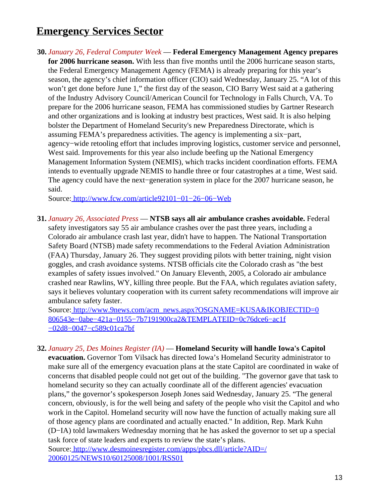# <span id="page-12-0"></span>**Emergency Services Sector**

**30.** *January 26, Federal Computer Week* — **Federal Emergency Management Agency prepares for 2006 hurricane season.** With less than five months until the 2006 hurricane season starts, the Federal Emergency Management Agency (FEMA) is already preparing for this year's season, the agency's chief information officer (CIO) said Wednesday, January 25. "A lot of this won't get done before June 1," the first day of the season, CIO Barry West said at a gathering of the Industry Advisory Council/American Council for Technology in Falls Church, VA. To prepare for the 2006 hurricane season, FEMA has commissioned studies by Gartner Research and other organizations and is looking at industry best practices, West said. It is also helping bolster the Department of Homeland Security's new Preparedness Directorate, which is assuming FEMA's preparedness activities. The agency is implementing a six−part, agency−wide retooling effort that includes improving logistics, customer service and personnel, West said. Improvements for this year also include beefing up the National Emergency Management Information System (NEMIS), which tracks incident coordination efforts. FEMA intends to eventually upgrade NEMIS to handle three or four catastrophes at a time, West said. The agency could have the next−generation system in place for the 2007 hurricane season, he said.

Source[: http://www.fcw.com/article92101−01−26−06−Web](http://www.fcw.com/article92101-01-26-06-Web)

**31.** *January 26, Associated Press* — **NTSB says all air ambulance crashes avoidable.** Federal safety investigators say 55 air ambulance crashes over the past three years, including a Colorado air ambulance crash last year, didn't have to happen. The National Transportation Safety Board (NTSB) made safety recommendations to the Federal Aviation Administration (FAA) Thursday, January 26. They suggest providing pilots with better training, night vision goggles, and crash avoidance systems. NTSB officials cite the Colorado crash as "the best examples of safety issues involved." On January Eleventh, 2005, a Colorado air ambulance crashed near Rawlins, WY, killing three people. But the FAA, which regulates aviation safety, says it believes voluntary cooperation with its current safety recommendations will improve air ambulance safety faster.

Source[: http://www.9news.com/acm\\_news.aspx?OSGNAME=KUSA&IKOBJECTID=0](http://www.9news.com/acm_news.aspx?OSGNAME=KUSA&IKOBJECTID=0806543e-0abe-421a-0155-7b7191900ca2&TEMPLATEID=0c76dce6-ac1f-02d8-0047-c589c01ca7bf) [806543e−0abe−421a−0155−7b7191900ca2&TEMPLATEID=0c76dce6−ac1f](http://www.9news.com/acm_news.aspx?OSGNAME=KUSA&IKOBJECTID=0806543e-0abe-421a-0155-7b7191900ca2&TEMPLATEID=0c76dce6-ac1f-02d8-0047-c589c01ca7bf) [−02d8−0047−c589c01ca7bf](http://www.9news.com/acm_news.aspx?OSGNAME=KUSA&IKOBJECTID=0806543e-0abe-421a-0155-7b7191900ca2&TEMPLATEID=0c76dce6-ac1f-02d8-0047-c589c01ca7bf)

**32.** *January 25, Des Moines Register (IA)* — **Homeland Security will handle Iowa's Capitol evacuation.** Governor Tom Vilsack has directed Iowa's Homeland Security administrator to make sure all of the emergency evacuation plans at the state Capitol are coordinated in wake of concerns that disabled people could not get out of the building. "The governor gave that task to homeland security so they can actually coordinate all of the different agencies' evacuation plans," the governor's spokesperson Joseph Jones said Wednesday, January 25. "The general concern, obviously, is for the well being and safety of the people who visit the Capitol and who work in the Capitol. Homeland security will now have the function of actually making sure all of those agency plans are coordinated and actually enacted." In addition, Rep. Mark Kuhn (D−IA) told lawmakers Wednesday morning that he has asked the governor to set up a special task force of state leaders and experts to review the state's plans. Source[: http://www.desmoinesregister.com/apps/pbcs.dll/article?AID=/](http://www.desmoinesregister.com/apps/pbcs.dll/article?AID=/20060125/NEWS10/60125008/1001/RSS01) [20060125/NEWS10/60125008/1001/RSS01](http://www.desmoinesregister.com/apps/pbcs.dll/article?AID=/20060125/NEWS10/60125008/1001/RSS01)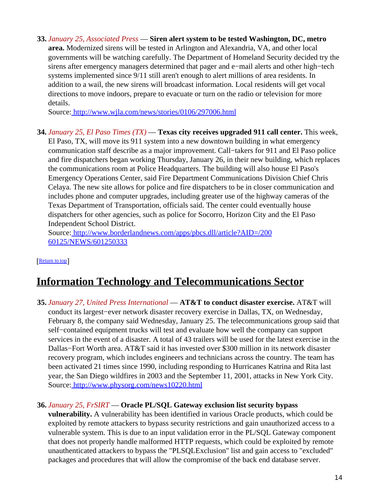<span id="page-13-0"></span>**33.** *January 25, Associated Press* — **Siren alert system to be tested Washington, DC, metro area.** Modernized sirens will be tested in Arlington and Alexandria, VA, and other local governments will be watching carefully. The Department of Homeland Security decided try the sirens after emergency managers determined that pager and e−mail alerts and other high−tech systems implemented since 9/11 still aren't enough to alert millions of area residents. In addition to a wail, the new sirens will broadcast information. Local residents will get vocal directions to move indoors, prepare to evacuate or turn on the radio or television for more details.

Source[: http://www.wjla.com/news/stories/0106/297006.html](http://www.wjla.com/news/stories/0106/297006.html)

**34.** *January 25, El Paso Times (TX)* — **Texas city receives upgraded 911 call center.** This week, El Paso, TX, will move its 911 system into a new downtown building in what emergency communication staff describe as a major improvement. Call−takers for 911 and El Paso police and fire dispatchers began working Thursday, January 26, in their new building, which replaces the communications room at Police Headquarters. The building will also house El Paso's Emergency Operations Center, said Fire Department Communications Division Chief Chris Celaya. The new site allows for police and fire dispatchers to be in closer communication and includes phone and computer upgrades, including greater use of the highway cameras of the Texas Department of Transportation, officials said. The center could eventually house dispatchers for other agencies, such as police for Socorro, Horizon City and the El Paso Independent School District.

Source[: http://www.borderlandnews.com/apps/pbcs.dll/article?AID=/200](http://www.borderlandnews.com/apps/pbcs.dll/article?AID=/20060125/NEWS/601250333) [60125/NEWS/601250333](http://www.borderlandnews.com/apps/pbcs.dll/article?AID=/20060125/NEWS/601250333)

[[Return to top](#page-0-1)]

# <span id="page-13-1"></span>**Information Technology and Telecommunications Sector**

**35.** *January 27, United Press International* — **AT&T to conduct disaster exercise.** AT&T will conduct its largest−ever network disaster recovery exercise in Dallas, TX, on Wednesday, February 8, the company said Wednesday, January 25. The telecommunications group said that self−contained equipment trucks will test and evaluate how well the company can support services in the event of a disaster. A total of 43 trailers will be used for the latest exercise in the Dallas−Fort Worth area. AT&T said it has invested over \$300 million in its network disaster recovery program, which includes engineers and technicians across the country. The team has been activated 21 times since 1990, including responding to Hurricanes Katrina and Rita last year, the San Diego wildfires in 2003 and the September 11, 2001, attacks in New York City. Source[: http://www.physorg.com/news10220.html](http://www.physorg.com/news10220.html)

## **36.** *January 25, FrSIRT* — **Oracle PL/SQL Gateway exclusion list security bypass**

**vulnerability.** A vulnerability has been identified in various Oracle products, which could be exploited by remote attackers to bypass security restrictions and gain unauthorized access to a vulnerable system. This is due to an input validation error in the PL/SQL Gateway component that does not properly handle malformed HTTP requests, which could be exploited by remote unauthenticated attackers to bypass the "PLSQLExclusion" list and gain access to "excluded" packages and procedures that will allow the compromise of the back end database server.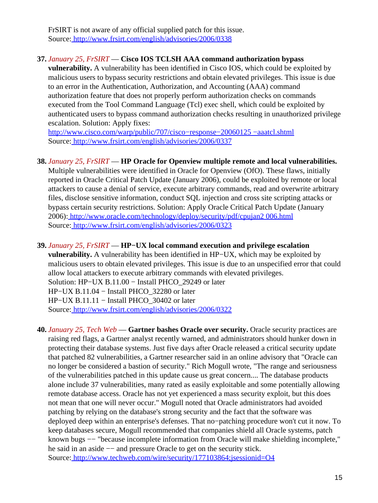FrSIRT is not aware of any official supplied patch for this issue. Source[: http://www.frsirt.com/english/advisories/2006/0338](http://www.frsirt.com/english/advisories/2006/0338)

## **37.** *January 25, FrSIRT* — **Cisco IOS TCLSH AAA command authorization bypass**

**vulnerability.** A vulnerability has been identified in Cisco IOS, which could be exploited by malicious users to bypass security restrictions and obtain elevated privileges. This issue is due to an error in the Authentication, Authorization, and Accounting (AAA) command authorization feature that does not properly perform authorization checks on commands executed from the Tool Command Language (Tcl) exec shell, which could be exploited by authenticated users to bypass command authorization checks resulting in unauthorized privilege escalation. Solution: Apply fixes:

[http://www.cisco.com/warp/public/707/cisco−response−20060125 −aaatcl.shtml](http://www.cisco.com/warp/public/707/cisco-response-20060125-aaatcl.shtml) Source[: http://www.frsirt.com/english/advisories/2006/0337](http://www.frsirt.com/english/advisories/2006/0337)

## **38.** *January 25, FrSIRT* — **HP Oracle for Openview multiple remote and local vulnerabilities.**

Multiple vulnerabilities were identified in Oracle for Openview (OfO). These flaws, initially reported in Oracle Critical Patch Update (January 2006), could be exploited by remote or local attackers to cause a denial of service, execute arbitrary commands, read and overwrite arbitrary files, disclose sensitive information, conduct SQL injection and cross site scripting attacks or bypass certain security restrictions. Solution: Apply Oracle Critical Patch Update (January 2006)[: http://www.oracle.com/technology/deploy/security/pdf/cpujan2 006.html](http://www.oracle.com/technology/deploy/security/pdf/cpujan2006.html) Source[: http://www.frsirt.com/english/advisories/2006/0323](http://www.frsirt.com/english/advisories/2006/0323)

## **39.** *January 25, FrSIRT* — **HP−UX local command execution and privilege escalation**

**vulnerability.** A vulnerability has been identified in HP−UX, which may be exploited by malicious users to obtain elevated privileges. This issue is due to an unspecified error that could allow local attackers to execute arbitrary commands with elevated privileges. Solution: HP−UX B.11.00 − Install PHCO\_29249 or later

HP−UX B.11.04 − Install PHCO\_32280 or later

HP−UX B.11.11 − Install PHCO\_30402 or later

Source[: http://www.frsirt.com/english/advisories/2006/0322](http://www.frsirt.com/english/advisories/2006/0322)

**40.** *January 25, Tech Web* — **Gartner bashes Oracle over security.** Oracle security practices are raising red flags, a Gartner analyst recently warned, and administrators should hunker down in protecting their database systems. Just five days after Oracle released a critical security update that patched 82 vulnerabilities, a Gartner researcher said in an online advisory that "Oracle can no longer be considered a bastion of security." Rich Mogull wrote, "The range and seriousness of the vulnerabilities patched in this update cause us great concern.... The database products alone include 37 vulnerabilities, many rated as easily exploitable and some potentially allowing remote database access. Oracle has not yet experienced a mass security exploit, but this does not mean that one will never occur." Mogull noted that Oracle administrators had avoided patching by relying on the database's strong security and the fact that the software was deployed deep within an enterprise's defenses. That no−patching procedure won't cut it now. To keep databases secure, Mogull recommended that companies shield all Oracle systems, patch known bugs  $--$  "because incomplete information from Oracle will make shielding incomplete," he said in an aside −− and pressure Oracle to get on the security stick. Source[: http://www.techweb.com/wire/security/177103864;jsessionid=O4](http://www.techweb.com/wire/security/177103864;jsessionid=O40E1UZM0ACXCQSNDBGCKH0CJUMEKJVN)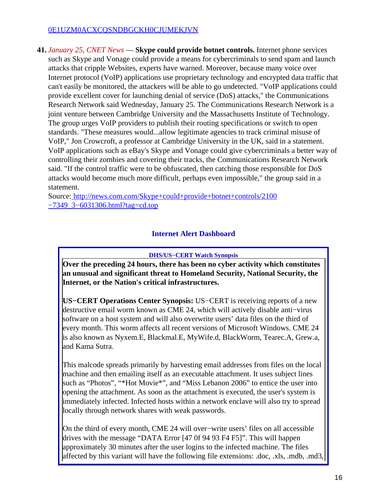## [0E1UZM0ACXCQSNDBGCKH0CJUMEKJVN](http://www.techweb.com/wire/security/177103864;jsessionid=O40E1UZM0ACXCQSNDBGCKH0CJUMEKJVN)

**41.** *January 25, CNET News* — **Skype could provide botnet controls.** Internet phone services such as Skype and Vonage could provide a means for cybercriminals to send spam and launch attacks that cripple Websites, experts have warned. Moreover, because many voice over Internet protocol (VoIP) applications use proprietary technology and encrypted data traffic that can't easily be monitored, the attackers will be able to go undetected. "VoIP applications could provide excellent cover for launching denial of service (DoS) attacks," the Communications Research Network said Wednesday, January 25. The Communications Research Network is a joint venture between Cambridge University and the Massachusetts Institute of Technology. The group urges VoIP providers to publish their routing specifications or switch to open standards. "These measures would...allow legitimate agencies to track criminal misuse of VoIP," Jon Crowcroft, a professor at Cambridge University in the UK, said in a statement. VoIP applications such as eBay's Skype and Vonage could give cybercriminals a better way of controlling their zombies and covering their tracks, the Communications Research Network said. "If the control traffic were to be obfuscated, then catching those responsible for DoS attacks would become much more difficult, perhaps even impossible," the group said in a statement.

<span id="page-15-0"></span>Source[: http://news.com.com/Skype+could+provide+botnet+controls/2100](http://news.com.com/Skype+could+provide+botnet+controls/2100-7349_3-6031306.html?tag=cd.top) [−7349\\_3−6031306.html?tag=cd.top](http://news.com.com/Skype+could+provide+botnet+controls/2100-7349_3-6031306.html?tag=cd.top)

## **Internet Alert Dashboard**

### **DHS/US−CERT Watch Synopsis**

**Over the preceding 24 hours, there has been no cyber activity which constitutes an unusual and significant threat to Homeland Security, National Security, the Internet, or the Nation's critical infrastructures.**

**US−CERT Operations Center Synopsis:** US−CERT is receiving reports of a new destructive email worm known as CME 24, which will actively disable anti−virus software on a host system and will also overwrite users' data files on the third of every month. This worm affects all recent versions of Microsoft Windows. CME 24 is also known as Nyxem.E, Blackmal.E, MyWife.d, BlackWorm, Tearec.A, Grew.a, and Kama Sutra.

This malcode spreads primarily by harvesting email addresses from files on the local machine and then emailing itself as an executable attachment. It uses subject lines such as "Photos", "\*Hot Movie\*", and "Miss Lebanon 2006" to entice the user into opening the attachment. As soon as the attachment is executed, the user's system is immediately infected. Infected hosts within a network enclave will also try to spread locally through network shares with weak passwords.

On the third of every month, CME 24 will over−write users' files on all accessible drives with the message "DATA Error [47 0f 94 93 F4 F5]". This will happen approximately 30 minutes after the user logins to the infected machine. The files affected by this variant will have the following file extensions: .doc, .xls, .mdb, .md3,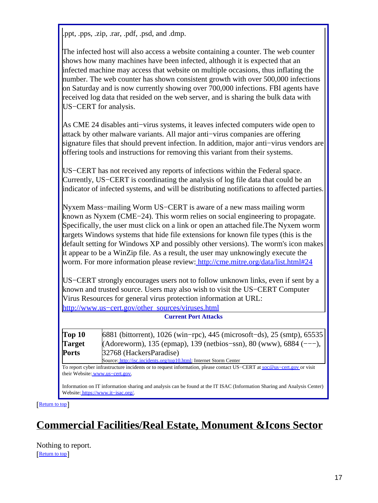.ppt, .pps, .zip, .rar, .pdf, .psd, and .dmp.

The infected host will also access a website containing a counter. The web counter shows how many machines have been infected, although it is expected that an infected machine may access that website on multiple occasions, thus inflating the number. The web counter has shown consistent growth with over 500,000 infections on Saturday and is now currently showing over 700,000 infections. FBI agents have received log data that resided on the web server, and is sharing the bulk data with US−CERT for analysis.

As CME 24 disables anti−virus systems, it leaves infected computers wide open to attack by other malware variants. All major anti−virus companies are offering signature files that should prevent infection. In addition, major anti−virus vendors are offering tools and instructions for removing this variant from their systems.

US−CERT has not received any reports of infections within the Federal space. Currently, US−CERT is coordinating the analysis of log file data that could be an indicator of infected systems, and will be distributing notifications to affected parties.

Nyxem Mass−mailing Worm US−CERT is aware of a new mass mailing worm known as Nyxem (CME−24). This worm relies on social engineering to propagate. Specifically, the user must click on a link or open an attached file.The Nyxem worm targets Windows systems that hide file extensions for known file types (this is the default setting for Windows XP and possibly other versions). The worm's icon makes it appear to be a WinZip file. As a result, the user may unknowingly execute the worm. For more information please review:<http://cme.mitre.org/data/list.html#24>

US−CERT strongly encourages users not to follow unknown links, even if sent by a known and trusted source. Users may also wish to visit the US−CERT Computer Virus Resources for general virus protection information at URL: [http://www.us−cert.gov/other\\_sources/viruses.html](http://www.us-cert.gov/other_sources/viruses.html)

#### **Current Port Attacks**

| Top 10        | $ 6881$ (bittorrent), 1026 (win-rpc), 445 (microsoft-ds), 25 (smtp), 65535 |
|---------------|----------------------------------------------------------------------------|
| <b>Target</b> | $(Adoreworm)$ , 135 (epmap), 139 (netbios-ssn), 80 (www), 6884 (---),      |
| <b>Ports</b>  | 32768 (HackersParadise)                                                    |
|               | Source: http://isc.incidents.org/top10.html; Internet Storm Center         |

To report cyber infrastructure incidents or to request information, please contact US−CERT at [soc@us−cert.gov](mailto:soc@us-cert.gov) or visit their Website: [www.us−cert.gov.](http://www.us-cert.gov/)

Information on IT information sharing and analysis can be found at the IT ISAC (Information Sharing and Analysis Center) Website: [https://www.it−isac.org/.](https://www.it-isac.org/)

#### [[Return to top](#page-0-1)]

# <span id="page-16-0"></span>**Commercial Facilities/Real Estate, Monument &Icons Sector**

Nothing to report. [[Return to top](#page-0-1)]